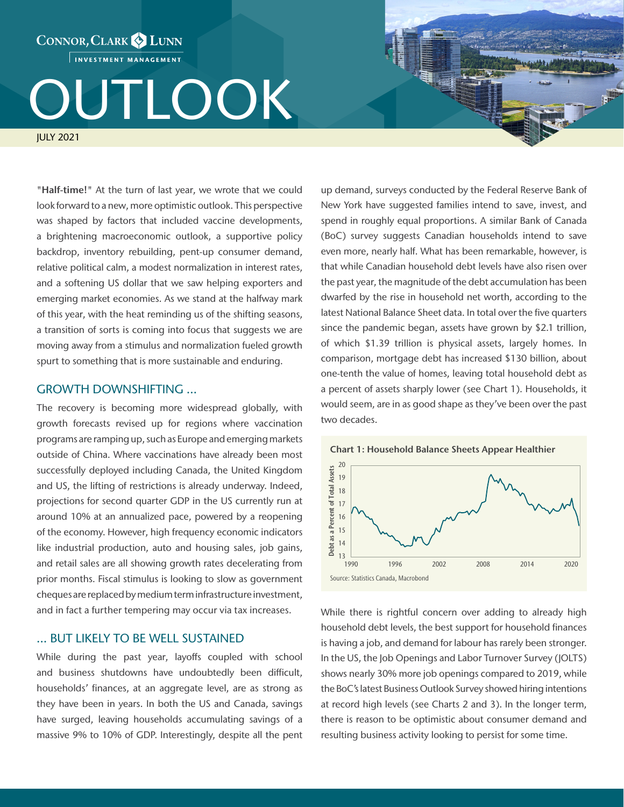INVESTMENT MANAGEMENT

CONNOR, CLARK & LUNN

# **UTLOOK**

JULY 2021

"Half-time!" At the turn of last year, we wrote that we could look forward to a new, more optimistic outlook. This perspective was shaped by factors that included vaccine developments, a brightening macroeconomic outlook, a supportive policy backdrop, inventory rebuilding, pent-up consumer demand, relative political calm, a modest normalization in interest rates, and a softening US dollar that we saw helping exporters and emerging market economies. As we stand at the halfway mark of this year, with the heat reminding us of the shifting seasons, a transition of sorts is coming into focus that suggests we are moving away from a stimulus and normalization fueled growth spurt to something that is more sustainable and enduring.

#### GROWTH DOWNSHIFTING …

The recovery is becoming more widespread globally, with growth forecasts revised up for regions where vaccination programs are ramping up, such as Europe and emerging markets outside of China. Where vaccinations have already been most successfully deployed including Canada, the United Kingdom and US, the lifting of restrictions is already underway. Indeed, projections for second quarter GDP in the US currently run at around 10% at an annualized pace, powered by a reopening of the economy. However, high frequency economic indicators like industrial production, auto and housing sales, job gains, and retail sales are all showing growth rates decelerating from prior months. Fiscal stimulus is looking to slow as government cheques are replaced by medium term infrastructure investment, and in fact a further tempering may occur via tax increases.

# … BUT LIKELY TO BE WELL SUSTAINED

While during the past year, layoffs coupled with school and business shutdowns have undoubtedly been difficult, households' finances, at an aggregate level, are as strong as they have been in years. In both the US and Canada, savings have surged, leaving households accumulating savings of a massive 9% to 10% of GDP. Interestingly, despite all the pent

up demand, surveys conducted by the Federal Reserve Bank of New York have suggested families intend to save, invest, and spend in roughly equal proportions. A similar Bank of Canada (BoC) survey suggests Canadian households intend to save even more, nearly half. What has been remarkable, however, is that while Canadian household debt levels have also risen over the past year, the magnitude of the debt accumulation has been dwarfed by the rise in household net worth, according to the latest National Balance Sheet data. In total over the five quarters since the pandemic began, assets have grown by \$2.1 trillion, of which \$1.39 trillion is physical assets, largely homes. In comparison, mortgage debt has increased \$130 billion, about one-tenth the value of homes, leaving total household debt as a percent of assets sharply lower (see Chart 1). Households, it would seem, are in as good shape as they've been over the past two decades.



While there is rightful concern over adding to already high household debt levels, the best support for household finances is having a job, and demand for labour has rarely been stronger. In the US, the Job Openings and Labor Turnover Survey (JOLTS) shows nearly 30% more job openings compared to 2019, while the BoC's latest Business Outlook Survey showed hiring intentions at record high levels (see Charts 2 and 3). In the longer term, there is reason to be optimistic about consumer demand and resulting business activity looking to persist for some time.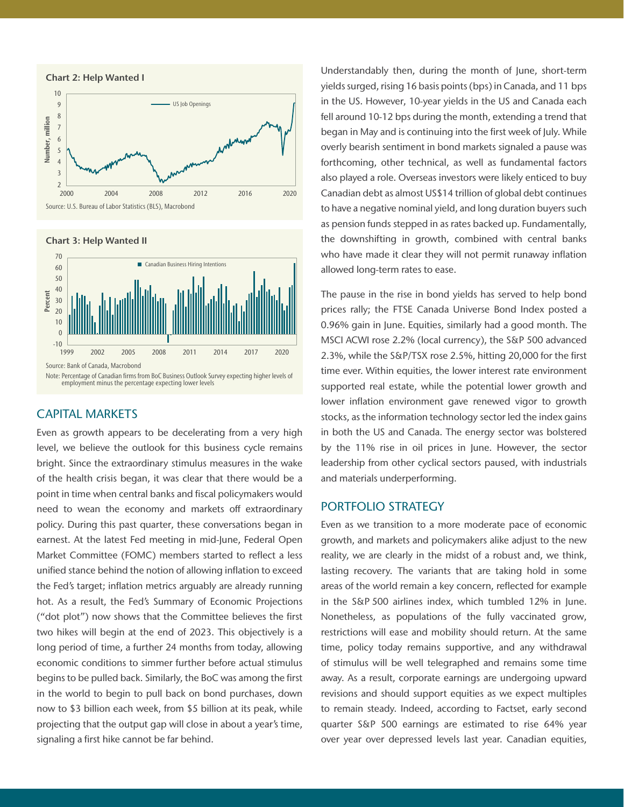



## CAPITAL MARKETS

Even as growth appears to be decelerating from a very high level, we believe the outlook for this business cycle remains bright. Since the extraordinary stimulus measures in the wake of the health crisis began, it was clear that there would be a point in time when central banks and fiscal policymakers would need to wean the economy and markets off extraordinary policy. During this past quarter, these conversations began in earnest. At the latest Fed meeting in mid-June, Federal Open Market Committee (FOMC) members started to reflect a less unified stance behind the notion of allowing inflation to exceed the Fed's target; inflation metrics arguably are already running hot. As a result, the Fed's Summary of Economic Projections ("dot plot") now shows that the Committee believes the first two hikes will begin at the end of 2023. This objectively is a long period of time, a further 24 months from today, allowing economic conditions to simmer further before actual stimulus begins to be pulled back. Similarly, the BoC was among the first in the world to begin to pull back on bond purchases, down now to \$3 billion each week, from \$5 billion at its peak, while projecting that the output gap will close in about a year's time, signaling a first hike cannot be far behind.

Understandably then, during the month of June, short-term yields surged, rising 16 basis points (bps) in Canada, and 11 bps in the US. However, 10-year yields in the US and Canada each fell around 10-12 bps during the month, extending a trend that began in May and is continuing into the first week of July. While overly bearish sentiment in bond markets signaled a pause was forthcoming, other technical, as well as fundamental factors also played a role. Overseas investors were likely enticed to buy Canadian debt as almost US\$14 trillion of global debt continues to have a negative nominal yield, and long duration buyers such as pension funds stepped in as rates backed up. Fundamentally, the downshifting in growth, combined with central banks who have made it clear they will not permit runaway inflation allowed long-term rates to ease.

The pause in the rise in bond yields has served to help bond prices rally; the FTSE Canada Universe Bond Index posted a 0.96% gain in June. Equities, similarly had a good month. The MSCI ACWI rose 2.2% (local currency), the S&P 500 advanced 2.3%, while the S&P/TSX rose 2.5%, hitting 20,000 for the first time ever. Within equities, the lower interest rate environment supported real estate, while the potential lower growth and lower inflation environment gave renewed vigor to growth stocks, as the information technology sector led the index gains in both the US and Canada. The energy sector was bolstered by the 11% rise in oil prices in June. However, the sector leadership from other cyclical sectors paused, with industrials and materials underperforming.

### PORTFOLIO STRATEGY

Even as we transition to a more moderate pace of economic growth, and markets and policymakers alike adjust to the new reality, we are clearly in the midst of a robust and, we think, lasting recovery. The variants that are taking hold in some areas of the world remain a key concern, reflected for example in the S&P 500 airlines index, which tumbled 12% in June. Nonetheless, as populations of the fully vaccinated grow, restrictions will ease and mobility should return. At the same time, policy today remains supportive, and any withdrawal of stimulus will be well telegraphed and remains some time away. As a result, corporate earnings are undergoing upward revisions and should support equities as we expect multiples to remain steady. Indeed, according to Factset, early second quarter S&P 500 earnings are estimated to rise 64% year over year over depressed levels last year. Canadian equities,